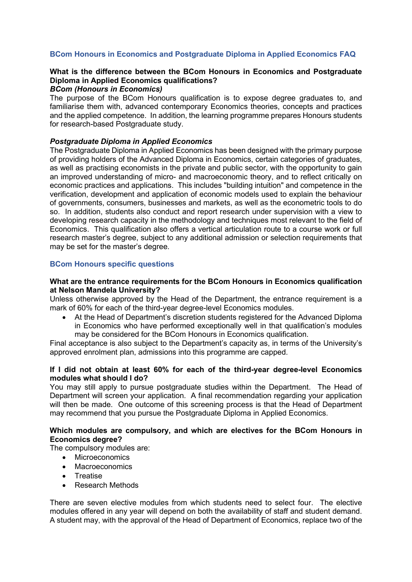# **BCom Honours in Economics and Postgraduate Diploma in Applied Economics FAQ**

# **What is the difference between the BCom Honours in Economics and Postgraduate Diploma in Applied Economics qualifications?**

# *BCom (Honours in Economics)*

The purpose of the BCom Honours qualification is to expose degree graduates to, and familiarise them with, advanced contemporary Economics theories, concepts and practices and the applied competence. In addition, the learning programme prepares Honours students for research-based Postgraduate study.

# *Postgraduate Diploma in Applied Economics*

The Postgraduate Diploma in Applied Economics has been designed with the primary purpose of providing holders of the Advanced Diploma in Economics, certain categories of graduates, as well as practising economists in the private and public sector, with the opportunity to gain an improved understanding of micro- and macroeconomic theory, and to reflect critically on economic practices and applications. This includes "building intuition" and competence in the verification, development and application of economic models used to explain the behaviour of governments, consumers, businesses and markets, as well as the econometric tools to do so. In addition, students also conduct and report research under supervision with a view to developing research capacity in the methodology and techniques most relevant to the field of Economics. This qualification also offers a vertical articulation route to a course work or full research master's degree, subject to any additional admission or selection requirements that may be set for the master's degree.

# **BCom Honours specific questions**

# **What are the entrance requirements for the BCom Honours in Economics qualification at Nelson Mandela University?**

Unless otherwise approved by the Head of the Department, the entrance requirement is a mark of 60% for each of the third-year degree-level Economics modules.

• At the Head of Department's discretion students registered for the Advanced Diploma in Economics who have performed exceptionally well in that qualification's modules may be considered for the BCom Honours in Economics qualification.

Final acceptance is also subject to the Department's capacity as, in terms of the University's approved enrolment plan, admissions into this programme are capped.

# **If I did not obtain at least 60% for each of the third-year degree-level Economics modules what should I do?**

You may still apply to pursue postgraduate studies within the Department. The Head of Department will screen your application. A final recommendation regarding your application will then be made. One outcome of this screening process is that the Head of Department may recommend that you pursue the Postgraduate Diploma in Applied Economics.

# **Which modules are compulsory, and which are electives for the BCom Honours in Economics degree?**

The compulsory modules are:

- Microeconomics
	- **Macroeconomics**
- Treatise
- Research Methods

There are seven elective modules from which students need to select four. The elective modules offered in any year will depend on both the availability of staff and student demand. A student may, with the approval of the Head of Department of Economics, replace two of the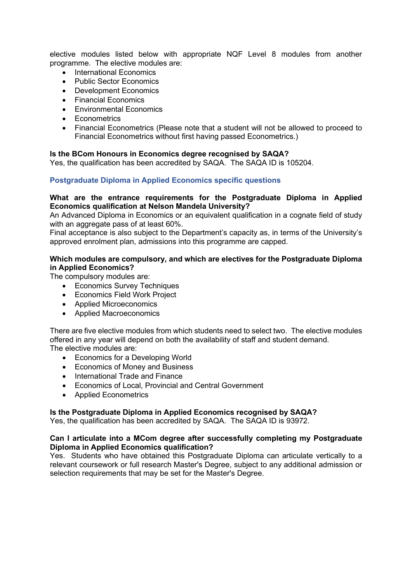elective modules listed below with appropriate NQF Level 8 modules from another programme. The elective modules are:

- International Economics
- Public Sector Economics
- Development Economics
- Financial Economics
- Environmental Economics
- Econometrics
- Financial Econometrics (Please note that a student will not be allowed to proceed to Financial Econometrics without first having passed Econometrics.)

# **Is the BCom Honours in Economics degree recognised by SAQA?**

Yes, the qualification has been accredited by SAQA. The SAQA ID is 105204.

# **Postgraduate Diploma in Applied Economics specific questions**

# **What are the entrance requirements for the Postgraduate Diploma in Applied Economics qualification at Nelson Mandela University?**

An Advanced Diploma in Economics or an equivalent qualification in a cognate field of study with an aggregate pass of at least 60%.

Final acceptance is also subject to the Department's capacity as, in terms of the University's approved enrolment plan, admissions into this programme are capped.

# **Which modules are compulsory, and which are electives for the Postgraduate Diploma in Applied Economics?**

The compulsory modules are:

- Economics Survey Techniques
- Economics Field Work Project
- Applied Microeconomics
- Applied Macroeconomics

There are five elective modules from which students need to select two. The elective modules offered in any year will depend on both the availability of staff and student demand. The elective modules are:

- Economics for a Developing World
- Economics of Money and Business
- International Trade and Finance
- Economics of Local, Provincial and Central Government
- Applied Econometrics

# **Is the Postgraduate Diploma in Applied Economics recognised by SAQA?**

Yes, the qualification has been accredited by SAQA. The SAQA ID is 93972.

# **Can I articulate into a MCom degree after successfully completing my Postgraduate Diploma in Applied Economics qualification?**

Yes. Students who have obtained this Postgraduate Diploma can articulate vertically to a relevant coursework or full research Master's Degree, subject to any additional admission or selection requirements that may be set for the Master's Degree.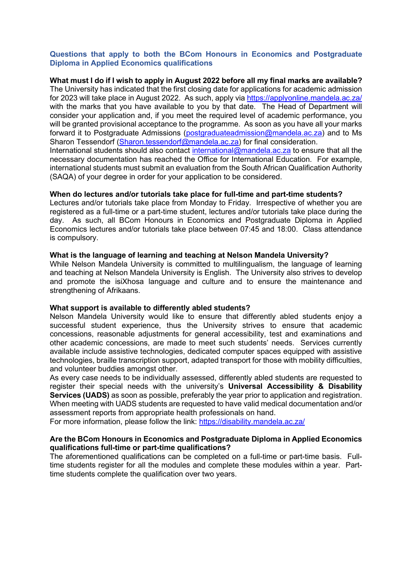# **Questions that apply to both the BCom Honours in Economics and Postgraduate Diploma in Applied Economics qualifications**

**What must I do if I wish to apply in August 2022 before all my final marks are available?** The University has indicated that the first closing date for applications for academic admission for 2023 will take place in August 2022. As such, apply via<https://applyonline.mandela.ac.za/> with the marks that you have available to you by that date. The Head of Department will consider your application and, if you meet the required level of academic performance, you will be granted provisional acceptance to the programme. As soon as you have all your marks forward it to Postgraduate Admissions [\(postgraduateadmission@mandela.ac.za\)](mailto:postgraduateadmission@mandela.ac.za) and to Ms Sharon Tessendorf [\(Sharon.tessendorf@mandela.ac.za\)](mailto:Sharon.tessendorf@mandela.ac.za) for final consideration.

International students should also contact [international@mandela.ac.za](mailto:international@mandela.ac.za) to ensure that all the necessary documentation has reached the Office for International Education. For example, international students must submit an evaluation from the South African Qualification Authority (SAQA) of your degree in order for your application to be considered.

# **When do lectures and/or tutorials take place for full-time and part-time students?**

Lectures and/or tutorials take place from Monday to Friday. Irrespective of whether you are registered as a full-time or a part-time student, lectures and/or tutorials take place during the day. As such, all BCom Honours in Economics and Postgraduate Diploma in Applied Economics lectures and/or tutorials take place between 07:45 and 18:00. Class attendance is compulsory.

# **What is the language of learning and teaching at Nelson Mandela University?**

While Nelson Mandela University is committed to multilingualism, the language of learning and teaching at Nelson Mandela University is English. The University also strives to develop and promote the isiXhosa language and culture and to ensure the maintenance and strengthening of Afrikaans.

#### **What support is available to differently abled students?**

Nelson Mandela University would like to ensure that differently abled students enjoy a successful student experience, thus the University strives to ensure that academic concessions, reasonable adjustments for general accessibility, test and examinations and other academic concessions, are made to meet such students' needs. Services currently available include assistive technologies, dedicated computer spaces equipped with assistive technologies, braille transcription support, adapted transport for those with mobility difficulties, and volunteer buddies amongst other.

As every case needs to be individually assessed, differently abled students are requested to register their special needs with the university's **Universal Accessibility & Disability Services (UADS)** as soon as possible, preferably the year prior to application and registration. When meeting with UADS students are requested to have valid medical documentation and/or assessment reports from appropriate health professionals on hand.

For more information, please follow the link:<https://disability.mandela.ac.za/>

# **Are the BCom Honours in Economics and Postgraduate Diploma in Applied Economics qualifications full-time or part-time qualifications?**

The aforementioned qualifications can be completed on a full-time or part-time basis. Fulltime students register for all the modules and complete these modules within a year. Parttime students complete the qualification over two years.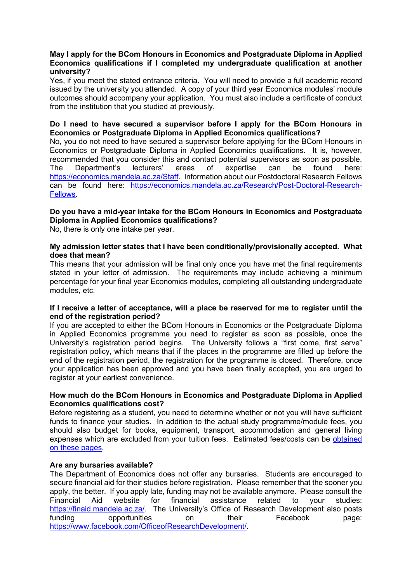# **May I apply for the BCom Honours in Economics and Postgraduate Diploma in Applied Economics qualifications if I completed my undergraduate qualification at another university?**

Yes, if you meet the stated entrance criteria. You will need to provide a full academic record issued by the university you attended. A copy of your third year Economics modules' module outcomes should accompany your application. You must also include a certificate of conduct from the institution that you studied at previously.

# **Do I need to have secured a supervisor before I apply for the BCom Honours in Economics or Postgraduate Diploma in Applied Economics qualifications?**

No, you do not need to have secured a supervisor before applying for the BCom Honours in Economics or Postgraduate Diploma in Applied Economics qualifications. It is, however, recommended that you consider this and contact potential supervisors as soon as possible. The Department's lecturers' areas of expertise can be found here: [https://economics.mandela.ac.za/Staff.](https://economics.mandela.ac.za/Staff) Information about our Postdoctoral Research Fellows can be found here: [https://economics.mandela.ac.za/Research/Post-Doctoral-Research-](https://economics.mandela.ac.za/Research/Post-Doctoral-Research-Fellows)[Fellows.](https://economics.mandela.ac.za/Research/Post-Doctoral-Research-Fellows)

# **Do you have a mid-year intake for the BCom Honours in Economics and Postgraduate Diploma in Applied Economics qualifications?**

No, there is only one intake per year.

# **My admission letter states that I have been conditionally/provisionally accepted. What does that mean?**

This means that your admission will be final only once you have met the final requirements stated in your letter of admission. The requirements may include achieving a minimum percentage for your final year Economics modules, completing all outstanding undergraduate modules, etc.

# **If I receive a letter of acceptance, will a place be reserved for me to register until the end of the registration period?**

If you are accepted to either the BCom Honours in Economics or the Postgraduate Diploma in Applied Economics programme you need to register as soon as possible, once the University's registration period begins. The University follows a "first come, first serve" registration policy, which means that if the places in the programme are filled up before the end of the registration period, the registration for the programme is closed. Therefore, once your application has been approved and you have been finally accepted, you are urged to register at your earliest convenience.

# **How much do the BCom Honours in Economics and Postgraduate Diploma in Applied Economics qualifications cost?**

Before registering as a student, you need to determine whether or not you will have sufficient funds to finance your studies. In addition to the actual study programme/module fees, you should also budget for books, equipment, transport, accommodation and general living expenses which are excluded from your tuition fees. Estimated fees/costs can be [obtained](http://www.mandela.ac.za/Apply/Funding-your-studies/General-Financial-information)  [on these pages.](http://www.mandela.ac.za/Apply/Funding-your-studies/General-Financial-information)

# **Are any bursaries available?**

The Department of Economics does not offer any bursaries. Students are encouraged to secure financial aid for their studies before registration. Please remember that the sooner you apply, the better. If you apply late, funding may not be available anymore. Please consult the Financial Aid website for financial assistance related to your studies: [https://finaid.mandela.ac.za/.](https://finaid.mandela.ac.za/) The University's Office of Research Development also posts funding opportunities on their Facebook page: [https://www.facebook.com/OfficeofResearchDevelopment/.](https://www.facebook.com/OfficeofResearchDevelopment/)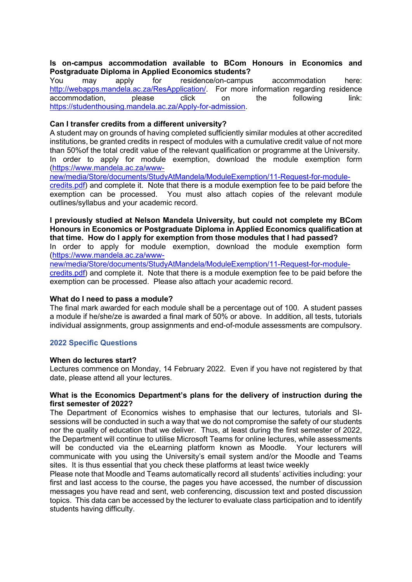# **Is on-campus accommodation available to BCom Honours in Economics and Postgraduate Diploma in Applied Economics students?**<br>You may apply for residence/on-campus

may apply for residence/on-campus accommodation here: [http://webapps.mandela.ac.za/ResApplication/.](http://webapps.mandela.ac.za/ResApplication/) For more information regarding residence<br>accommodation, please click on the following link: accommodation, please click on the following link: [https://studenthousing.mandela.ac.za/Apply-for-admission.](https://studenthousing.mandela.ac.za/Apply-for-admission)

# **Can I transfer credits from a different university?**

A student may on grounds of having completed sufficiently similar modules at other accredited institutions, be granted credits in respect of modules with a cumulative credit value of not more than 50%of the total credit value of the relevant qualification or programme at the University. In order to apply for module exemption, download the module exemption form [\(https://www.mandela.ac.za/www-](https://www.mandela.ac.za/www-new/media/Store/documents/StudyAtMandela/ModuleExemption/11-Request-for-module-credits.pdf)

[new/media/Store/documents/StudyAtMandela/ModuleExemption/11-Request-for-module](https://www.mandela.ac.za/www-new/media/Store/documents/StudyAtMandela/ModuleExemption/11-Request-for-module-credits.pdf)[credits.pdf\)](https://www.mandela.ac.za/www-new/media/Store/documents/StudyAtMandela/ModuleExemption/11-Request-for-module-credits.pdf) and complete it. Note that there is a module exemption fee to be paid before the exemption can be processed. You must also attach copies of the relevant module outlines/syllabus and your academic record.

# **I previously studied at Nelson Mandela University, but could not complete my BCom Honours in Economics or Postgraduate Diploma in Applied Economics qualification at that time. How do I apply for exemption from those modules that I had passed?**

In order to apply for module exemption, download the module exemption form [\(https://www.mandela.ac.za/www-](https://www.mandela.ac.za/www-new/media/Store/documents/StudyAtMandela/ModuleExemption/11-Request-for-module-credits.pdf)

[new/media/Store/documents/StudyAtMandela/ModuleExemption/11-Request-for-module](https://www.mandela.ac.za/www-new/media/Store/documents/StudyAtMandela/ModuleExemption/11-Request-for-module-credits.pdf)[credits.pdf\)](https://www.mandela.ac.za/www-new/media/Store/documents/StudyAtMandela/ModuleExemption/11-Request-for-module-credits.pdf) and complete it. Note that there is a module exemption fee to be paid before the exemption can be processed. Please also attach your academic record.

#### **What do I need to pass a module?**

The final mark awarded for each module shall be a percentage out of 100. A student passes a module if he/she/ze is awarded a final mark of 50% or above. In addition, all tests, tutorials individual assignments, group assignments and end-of-module assessments are compulsory.

# **2022 Specific Questions**

#### **When do lectures start?**

Lectures commence on Monday, 14 February 2022. Even if you have not registered by that date, please attend all your lectures.

# **What is the Economics Department's plans for the delivery of instruction during the first semester of 2022?**

The Department of Economics wishes to emphasise that our lectures, tutorials and SIsessions will be conducted in such a way that we do not compromise the safety of our students nor the quality of education that we deliver. Thus, at least during the first semester of 2022, the Department will continue to utilise Microsoft Teams for online lectures, while assessments will be conducted via the eLearning platform known as Moodle. Your lecturers will communicate with you using the University's email system and/or the Moodle and Teams sites. It is thus essential that you check these platforms at least twice weekly

Please note that Moodle and Teams automatically record all students' activities including: your first and last access to the course, the pages you have accessed, the number of discussion messages you have read and sent, web conferencing, discussion text and posted discussion topics. This data can be accessed by the lecturer to evaluate class participation and to identify students having difficulty.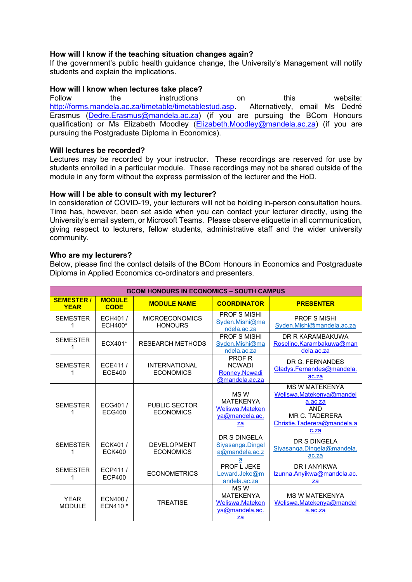# **How will I know if the teaching situation changes again?**

If the government's public health guidance change, the University's Management will notify students and explain the implications.

# **How will I know when lectures take place?**<br>Follow the instructions

Follow the instructions on this website: [http://forms.mandela.ac.za/timetable/timetablestud.asp.](http://forms.mandela.ac.za/timetable/timetablestud.asp) Alternatively, email Ms Dedré Erasmus [\(Dedre.Erasmus@mandela.ac.za\)](mailto:Dedre.Erasmus@mandela.ac.za) (if you are pursuing the BCom Honours qualification) or Ms Elizabeth Moodley [\(Elizabeth.Moodley@mandela.ac.za\)](mailto:Elizabeth.Moodley@mandela.ac.za) (if you are pursuing the Postgraduate Diploma in Economics).

# **Will lectures be recorded?**

Lectures may be recorded by your instructor. These recordings are reserved for use by students enrolled in a particular module. These recordings may not be shared outside of the module in any form without the express permission of the lecturer and the HoD.

# **How will I be able to consult with my lecturer?**

In consideration of COVID-19, your lecturers will not be holding in-person consultation hours. Time has, however, been set aside when you can contact your lecturer directly, using the University's email system, or Microsoft Teams. Please observe etiquette in all communication, giving respect to lecturers, fellow students, administrative staff and the wider university community.

# **Who are my lecturers?**

Below, please find the contact details of the BCom Honours in Economics and Postgraduate Diploma in Applied Economics co-ordinators and presenters.

| <b>BCOM HONOURS IN ECONOMICS - SOUTH CAMPUS</b> |                              |                                          |                                                                     |                                                                                                                                     |  |  |
|-------------------------------------------------|------------------------------|------------------------------------------|---------------------------------------------------------------------|-------------------------------------------------------------------------------------------------------------------------------------|--|--|
| <b>SEMESTER/</b><br><b>YEAR</b>                 | <b>MODULE</b><br><b>CODE</b> | <b>MODULE NAME</b>                       | <b>COORDINATOR</b>                                                  | <b>PRESENTER</b>                                                                                                                    |  |  |
| <b>SEMESTER</b><br>1                            | ECH401/<br><b>ECH400*</b>    | <b>MICROECONOMICS</b><br><b>HONOURS</b>  | <b>PROF S MISHI</b><br>Syden.Mishi@ma<br>ndela.ac.za                | <b>PROF S MISHI</b><br>Syden.Mishi@mandela.ac.za                                                                                    |  |  |
| <b>SEMESTER</b>                                 | ECX401*                      | <b>RESEARCH METHODS</b>                  | <b>PROF S MISHI</b><br>Syden.Mishi@ma<br>ndela.ac.za                | DR R KARAMBAKUWA<br>Roseline.Karambakuwa@man<br>dela.ac.za                                                                          |  |  |
| <b>SEMESTER</b><br>1                            | ECE411/<br><b>ECE400</b>     | <b>INTERNATIONAL</b><br><b>ECONOMICS</b> | <b>PROF R</b><br><b>NCWADI</b><br>Ronney.Ncwadi<br>@mandela.ac.za   | DR G. FERNANDES<br>Gladys.Fernandes@mandela.<br>ac.za                                                                               |  |  |
| <b>SEMESTER</b><br>1                            | ECG401/<br><b>ECG400</b>     | <b>PUBLIC SECTOR</b><br><b>ECONOMICS</b> | MS W<br><b>MATEKENYA</b><br>Weliswa.Mateken<br>ya@mandela.ac.<br>za | <b>MS W MATFKFNYA</b><br>Weliswa.Matekenya@mandel<br>a.ac.za<br><b>AND</b><br>MR C. TADERERA<br>Christie.Taderera@mandela.a<br>c.za |  |  |
| <b>SEMESTER</b>                                 | ECK401/<br><b>ECK400</b>     | <b>DEVELOPMENT</b><br><b>ECONOMICS</b>   | DR S DINGELA<br>Siyasanga.Dingel<br>$a@$ mandela.ac.z<br>a          | DR S DINGELA<br>Siyasanga.Dingela@mandela.<br>ac.za                                                                                 |  |  |
| <b>SEMESTER</b><br>1                            | ECP411/<br><b>ECP400</b>     | <b>ECONOMETRICS</b>                      | PROF L JEKE<br>Leward.Jeke@m<br>andela.ac.za                        | <b>DRIANYIKWA</b><br>Izunna.Anyikwa@mandela.ac.<br>za                                                                               |  |  |
| <b>YEAR</b><br><b>MODULE</b>                    | ECN400/<br>ECN410 *          | <b>TREATISE</b>                          | MS W<br><b>MATEKENYA</b><br>Weliswa.Mateken<br>va@mandela.ac.<br>za | <b>MS W MATEKENYA</b><br>Weliswa.Matekenya@mandel<br>a.ac.za                                                                        |  |  |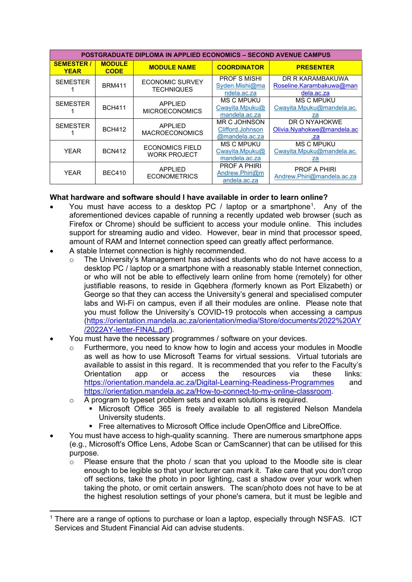| <b>POSTGRADUATE DIPLOMA IN APPLIED ECONOMICS – SECOND AVENUE CAMPUS</b> |                              |                                               |                                                              |                                                            |  |  |
|-------------------------------------------------------------------------|------------------------------|-----------------------------------------------|--------------------------------------------------------------|------------------------------------------------------------|--|--|
| <b>SEMESTER</b><br><b>YEAR</b>                                          | <b>MODULE</b><br><b>CODE</b> | <b>MODULE NAME</b>                            | <b>COORDINATOR</b>                                           | <b>PRESENTER</b>                                           |  |  |
| <b>SEMESTER</b>                                                         | <b>BRM411</b>                | <b>ECONOMIC SURVEY</b><br><b>TECHNIQUES</b>   | <b>PROF S MISHI</b><br>Syden.Mishi@ma<br>ndela.ac.za         | DR R KARAMBAKUWA<br>Roseline.Karambakuwa@man<br>dela.ac.za |  |  |
| <b>SEMESTER</b>                                                         | <b>BCH411</b>                | APPLIED<br><b>MICROECONOMICS</b>              | <b>MS C MPUKU</b><br>Cwayita.Mpuku@<br>mandela.ac.za         | <b>MS C MPUKU</b><br>Cwayita.Mpuku@mandela.ac.<br>za       |  |  |
| <b>SEMESTER</b>                                                         | <b>BCH412</b>                | <b>APPLIED</b><br><b>MACROECONOMICS</b>       | <b>MR C JOHNSON</b><br>Clifford.Johnson<br>$@$ mandela.ac.za | DR O NYAHOKWE<br>Olivia.Nyahokwe@mandela.ac<br>.za         |  |  |
| <b>YEAR</b>                                                             | <b>BCN412</b>                | <b>ECONOMICS FIELD</b><br><b>WORK PROJECT</b> | <b>MS C MPUKU</b><br>Cwayita.Mpuku@<br>mandela.ac.za         | <b>MS C MPUKU</b><br>Cwayita.Mpuku@mandela.ac.<br>za       |  |  |
| <b>YEAR</b>                                                             | <b>BEC410</b>                | <b>APPLIED</b><br><b>ECONOMETRICS</b>         | <b>PROF A PHIRI</b><br>Andrew.Phiri@m<br>andela.ac.za        | <b>PROF A PHIRI</b><br>Andrew.Phiri@mandela.ac.za          |  |  |

# **What hardware and software should I have available in order to learn online?**

- You must have access to a desktop PC / laptop or a smartphone<sup>[1](#page-6-0)</sup>. Any of the aforementioned devices capable of running a recently updated web browser (such as Firefox or Chrome) should be sufficient to access your module online. This includes support for streaming audio and video. However, bear in mind that processor speed, amount of RAM and Internet connection speed can greatly affect performance.
- A stable Internet connection is highly recommended.
	- $\circ$  The University's Management has advised students who do not have access to a desktop PC / laptop or a smartphone with a reasonably stable Internet connection, or who will not be able to effectively learn online from home (remotely) for other justifiable reasons, to reside in Gqebhera *(*formerly known as Port Elizabeth) or George so that they can access the University's general and specialised computer labs and Wi-Fi on campus, even if all their modules are online. Please note that you must follow the University's COVID-19 protocols when accessing a campus [\(https://orientation.mandela.ac.za/orientation/media/Store/documents/2022%20AY](https://orientation.mandela.ac.za/orientation/media/Store/documents/2022%20AY/2022AY-letter-FINAL.pdf) [/2022AY-letter-FINAL.pdf\)](https://orientation.mandela.ac.za/orientation/media/Store/documents/2022%20AY/2022AY-letter-FINAL.pdf).
- You must have the necessary programmes / software on your devices.
	- $\circ$  Furthermore, you need to know how to login and access your modules in Moodle as well as how to use Microsoft Teams for virtual sessions. Virtual tutorials are available to assist in this regard. It is recommended that you refer to the Faculty's Orientation app or access the resources via these links: <https://orientation.mandela.ac.za/Digital-Learning-Readiness-Programmes> and [https://orientation.mandela.ac.za/How-to-connect-to-my-online-classroom.](https://orientation.mandela.ac.za/How-to-connect-to-my-online-classroom)
	- o A program to typeset problem sets and exam solutions is required.
		- Microsoft Office 365 is freely available to all registered Nelson Mandela University students.
		- Free alternatives to Microsoft Office include OpenOffice and LibreOffice.
- You must have access to high-quality scanning. There are numerous smartphone apps (e.g., Microsoft's Office Lens, Adobe Scan or CamScanner) that can be utilised for this purpose.
	- o Please ensure that the photo / scan that you upload to the Moodle site is clear enough to be legible so that your lecturer can mark it. Take care that you don't crop off sections, take the photo in poor lighting, cast a shadow over your work when taking the photo, or omit certain answers. The scan/photo does not have to be at the highest resolution settings of your phone's camera, but it must be legible and

<span id="page-6-0"></span> $1$  There are a range of options to purchase or loan a laptop, especially through NSFAS. ICT Services and Student Financial Aid can advise students.